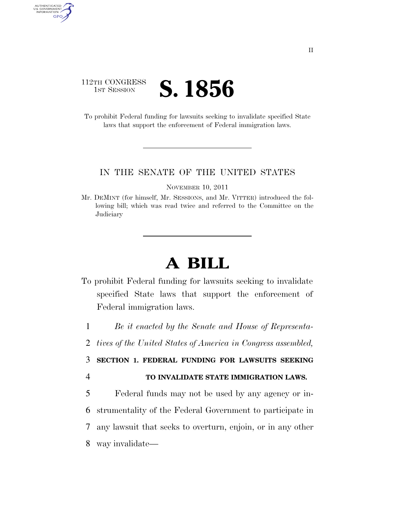## 112TH CONGRESS **IST SESSION S. 1856**

AUTHENTICATED<br>U.S. GOVERNMENT<br>INFORMATION GPO

> To prohibit Federal funding for lawsuits seeking to invalidate specified State laws that support the enforcement of Federal immigration laws.

## IN THE SENATE OF THE UNITED STATES

NOVEMBER 10, 2011

Mr. DEMINT (for himself, Mr. SESSIONS, and Mr. VITTER) introduced the following bill; which was read twice and referred to the Committee on the **Judiciary** 

## **A BILL**

To prohibit Federal funding for lawsuits seeking to invalidate specified State laws that support the enforcement of Federal immigration laws.

1 *Be it enacted by the Senate and House of Representa-*

## 3 **SECTION 1. FEDERAL FUNDING FOR LAWSUITS SEEKING**

4 **TO INVALIDATE STATE IMMIGRATION LAWS.** 

 Federal funds may not be used by any agency or in- strumentality of the Federal Government to participate in any lawsuit that seeks to overturn, enjoin, or in any other way invalidate—

<sup>2</sup> *tives of the United States of America in Congress assembled,*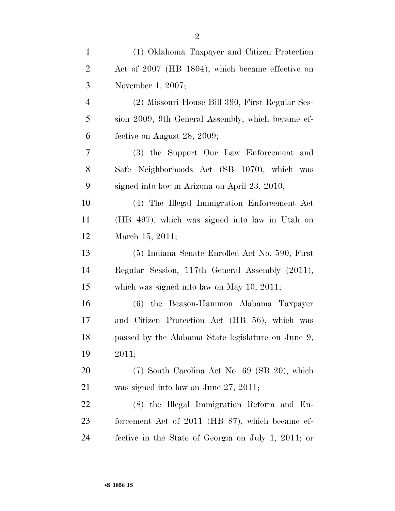| $\mathbf{1}$   | (1) Oklahoma Taxpayer and Citizen Protection        |
|----------------|-----------------------------------------------------|
| $\overline{2}$ | Act of 2007 (HB 1804), which became effective on    |
| 3              | November 1, 2007;                                   |
| $\overline{4}$ | (2) Missouri House Bill 390, First Regular Ses-     |
| 5              | sion 2009, 9th General Assembly, which became ef-   |
| 6              | fective on August $28, 2009;$                       |
| 7              | (3) the Support Our Law Enforcement and             |
| 8              | Safe Neighborhoods Act (SB 1070), which was         |
| 9              | signed into law in Arizona on April 23, 2010;       |
| 10             | (4) The Illegal Immigration Enforcement Act         |
| 11             | (HB 497), which was signed into law in Utah on      |
| 12             | March 15, 2011;                                     |
| 13             | (5) Indiana Senate Enrolled Act No. 590, First      |
| 14             | Regular Session, 117th General Assembly (2011),     |
| 15             | which was signed into law on May $10$ , $2011$ ;    |
| 16             | (6) the Beason-Hammon Alabama Taxpayer              |
| 17             | and Citizen Protection Act (HB 56), which was       |
| 18             | passed by the Alabama State legislature on June 9,  |
| 19             | 2011;                                               |
| 20             | (7) South Carolina Act No. 69 (SB 20), which        |
| 21             | was signed into law on June $27$ , $2011$ ;         |
| 22             | (8) the Illegal Immigration Reform and En-          |
| 23             | forcement Act of 2011 (HB 87), which became ef-     |
| 24             | fective in the State of Georgia on July 1, 2011; or |